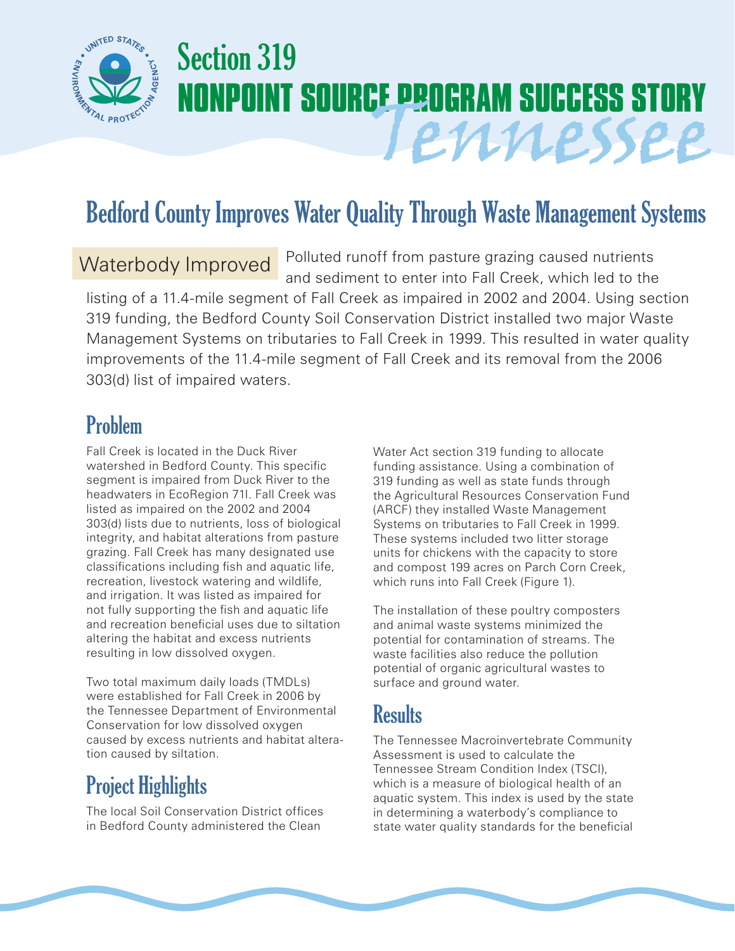

# Section 319 **NONPOINT SOURCE PROGRAM SUCCESS STORY** Tennessee

## Bedford County Improves Water Quality Through Waste Management Systems

Polluted runoff from pasture grazing caused nutrients and sediment to enter into Fall Creek, which led to the listing of a 11.4-mile segment of Fall Creek as impaired in 2002 and 2004. Using section 319 funding, the Bedford County Soil Conservation District installed two major Waste Management Systems on tributaries to Fall Creek in 1999. This resulted in water quality improvements of the 11.4-mile segment of Fall Creek and its removal from the 2006 303(d) list of impaired waters. Waterbody Improved

#### Problem

Fall Creek is located in the Duck River watershed in Bedford County. This specific segment is impaired from Duck River to the headwaters in EcoRegion 71I. Fall Creek was listed as impaired on the 2002 and 2004 303(d) lists due to nutrients, loss of biological integrity, and habitat alterations from pasture grazing. Fall Creek has many designated use classifications including fish and aquatic life, recreation, livestock watering and wildlife, and irrigation. It was listed as impaired for not fully supporting the fish and aquatic life and recreation beneficial uses due to siltation altering the habitat and excess nutrients resulting in low dissolved oxygen.

Two total maximum daily loads (TMDLs) were established for Fall Creek in 2006 by the Tennessee Department of Environmental Conservation for low dissolved oxygen caused by excess nutrients and habitat alteration caused by siltation.

### Project Highlights

The local Soil Conservation District offices in Bedford County administered the Clean

Water Act section 319 funding to allocate funding assistance. Using a combination of 319 funding as well as state funds through the Agricultural Resources Conservation Fund (ARCF) they installed Waste Management Systems on tributaries to Fall Creek in 1999. These systems included two litter storage units for chickens with the capacity to store and compost 199 acres on Parch Corn Creek, which runs into Fall Creek (Figure 1).

The installation of these poultry composters and animal waste systems minimized the potential for contamination of streams. The waste facilities also reduce the pollution potential of organic agricultural wastes to surface and ground water.

#### **Results**

The Tennessee Macroinvertebrate Community Assessment is used to calculate the Tennessee Stream Condition Index (TSCI), which is a measure of biological health of an aquatic system. This index is used by the state in determining a waterbody's compliance to state water quality standards for the beneficial